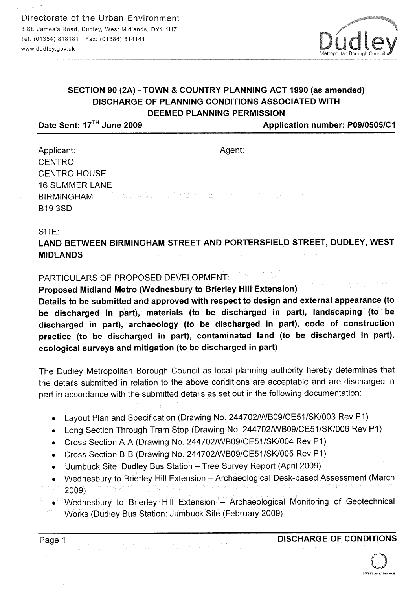

## SECTION 90 (2A) - TOWN & COUNTRY PLANNING ACT 1990 (as amended) DISCHARGE OF PLANNING CONDITIONS ASSOCIATED WITH DEEMED PLANNING PERMISSION

Date Sent: 17<sup>TH</sup> June 2009 **Application number: P09/0505/C1** 

Agent:

Applicant: **CENTRO** CENTRO HOUSE 16 SUMMER LANE **BIRMINGHAM** in the students is a B193SD

### SITE:

LAND BETWEEN BIRMINGHAM STREET AND PORTERSFIELD STREET, DUDLEY, WEST MIDLANDS

### PARTICULARS OF PROPOSED DEVELOPMENT:

Proposed Midland Metro (Wednesbury to Brierley Hill Extension)

Details to be submitted and approved with respect to design and external appearance (to be discharged in part), materials (to be discharged in part), landscaping (to be discharged in part), archaeology (to be discharged in part), code of construction practice (to be discharged in part), contaminated land (to be discharged in part), ecological surveys and mitigation (to be discharged in part)

The Dudley Metropolitan Borough Council as local planning authority hereby determines that the details submitted in relation to the above conditions are acceptable and are discharged in part in accordance with the submitted details as set out in the following documentation:

- Layout Plan and Specification (Drawing No. 244702/WB09/CE51/SK/003 Rev P1)
- Long Section Through Tram Stop (Drawing No. 244702/WB09/CE51/SK/006 Rev P1)
- Cross Section A-A (Drawing No. 244702/WB09/CE51/SK/004 Rev P1)
- Cross Section B-B (Drawing No. 244702/WB09/CE51/SK/005 Rev P1)
- Jumbuck Site' Dudley Bus Station Tree Survey Report (April 2009)
- Wednesbury to Brierley Hill Extension Archaeological Desk-based Assessment (March 2009)
- Wednesbury to Brierley Hill Extension Archaeological Monitoring of Geotechnical Works (Dudley Bus Station: Jumbuck Site (February 2009)